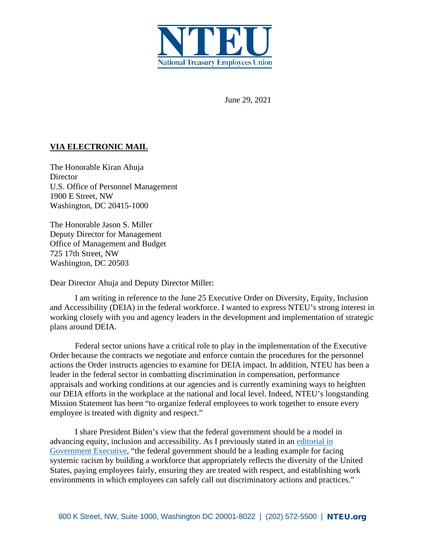

June 29, 2021

## **VIA ELECTRONIC MAIL**

The Honorable Kiran Ahuja **Director** U.S. Office of Personnel Management 1900 E Street, NW Washington, DC 20415-1000

The Honorable Jason S. Miller Deputy Director for Management Office of Management and Budget 725 17th Street, NW Washington, DC 20503

Dear Director Ahuja and Deputy Director Miller:

I am writing in reference to the June 25 Executive Order on Diversity, Equity, Inclusion and Accessibility (DEIA) in the federal workforce. I wanted to express NTEU's strong interest in working closely with you and agency leaders in the development and implementation of strategic plans around DEIA.

Federal sector unions have a critical role to play in the implementation of the Executive Order because the contracts we negotiate and enforce contain the procedures for the personnel actions the Order instructs agencies to examine for DEIA impact. In addition, NTEU has been a leader in the federal sector in combatting discrimination in compensation, performance appraisals and working conditions at our agencies and is currently examining ways to heighten our DEIA efforts in the workplace at the national and local level. Indeed, NTEU's longstanding Mission Statement has been "to organize federal employees to work together to ensure every employee is treated with dignity and respect."

I share President Biden's view that the federal government should be a model in advancing equity, inclusion and accessibility. As I previously stated in an [editorial in](https://www.govexec.com/workforce/2020/10/confronting-racism-our-american-duty/169164/)  [Government Executive,](https://www.govexec.com/workforce/2020/10/confronting-racism-our-american-duty/169164/) "the federal government should be a leading example for facing systemic racism by building a workforce that appropriately reflects the diversity of the United States, paying employees fairly, ensuring they are treated with respect, and establishing work environments in which employees can safely call out discriminatory actions and practices."